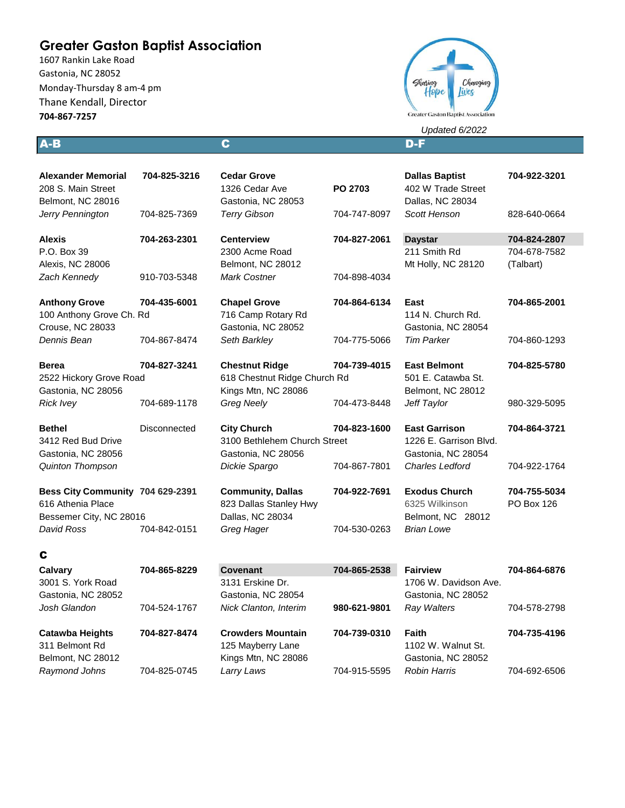# **Greater Gaston Baptist Association**

1607 Rankin Lake Road Gastonia, NC 28052 Monday-Thursday 8 am-4 pm Thane Kendall, Director **704-867-7257**



*Updated 6/2022*

A-B C D-F

| <b>Alexander Memorial</b><br>208 S. Main Street<br>Belmont, NC 28016             | 704-825-3216 | <b>Cedar Grove</b><br>1326 Cedar Ave<br>Gastonia, NC 28053               | PO 2703      | <b>Dallas Baptist</b><br>402 W Trade Street<br>Dallas, NC 28034      | 704-922-3201               |
|----------------------------------------------------------------------------------|--------------|--------------------------------------------------------------------------|--------------|----------------------------------------------------------------------|----------------------------|
| Jerry Pennington                                                                 | 704-825-7369 | <b>Terry Gibson</b>                                                      | 704-747-8097 | Scott Henson                                                         | 828-640-0664               |
| <b>Alexis</b>                                                                    | 704-263-2301 | <b>Centerview</b>                                                        | 704-827-2061 | <b>Daystar</b>                                                       | 704-824-2807               |
| P.O. Box 39                                                                      |              | 2300 Acme Road                                                           |              | 211 Smith Rd                                                         | 704-678-7582               |
| Alexis, NC 28006                                                                 |              | Belmont, NC 28012                                                        |              | Mt Holly, NC 28120                                                   | (Talbart)                  |
| Zach Kennedy                                                                     | 910-703-5348 | <b>Mark Costner</b>                                                      | 704-898-4034 |                                                                      |                            |
| <b>Anthony Grove</b><br>100 Anthony Grove Ch. Rd<br><b>Crouse, NC 28033</b>      | 704-435-6001 | <b>Chapel Grove</b><br>716 Camp Rotary Rd<br>Gastonia, NC 28052          | 704-864-6134 | East<br>114 N. Church Rd.<br>Gastonia, NC 28054                      | 704-865-2001               |
| Dennis Bean                                                                      | 704-867-8474 | Seth Barkley                                                             | 704-775-5066 | <b>Tim Parker</b>                                                    | 704-860-1293               |
| <b>Berea</b><br>2522 Hickory Grove Road                                          | 704-827-3241 | <b>Chestnut Ridge</b><br>618 Chestnut Ridge Church Rd                    | 704-739-4015 | <b>East Belmont</b><br>501 E. Catawba St.                            | 704-825-5780               |
| Gastonia, NC 28056                                                               |              | Kings Mtn, NC 28086                                                      |              | Belmont, NC 28012                                                    |                            |
| <b>Rick Ivey</b>                                                                 | 704-689-1178 | <b>Greg Neely</b>                                                        | 704-473-8448 | Jeff Taylor                                                          | 980-329-5095               |
| <b>Bethel</b><br>3412 Red Bud Drive<br>Gastonia, NC 28056                        | Disconnected | <b>City Church</b><br>3100 Bethlehem Church Street<br>Gastonia, NC 28056 | 704-823-1600 | <b>East Garrison</b><br>1226 E. Garrison Blvd.<br>Gastonia, NC 28054 | 704-864-3721               |
| Quinton Thompson                                                                 |              | Dickie Spargo                                                            | 704-867-7801 | <b>Charles Ledford</b>                                               | 704-922-1764               |
| Bess City Community 704 629-2391<br>616 Athenia Place<br>Bessemer City, NC 28016 |              | <b>Community, Dallas</b><br>823 Dallas Stanley Hwy<br>Dallas, NC 28034   | 704-922-7691 | <b>Exodus Church</b><br>6325 Wilkinson<br>Belmont, NC 28012          | 704-755-5034<br>PO Box 126 |
| David Ross                                                                       | 704-842-0151 | Greg Hager                                                               | 704-530-0263 | <b>Brian Lowe</b>                                                    |                            |
| C                                                                                |              |                                                                          |              |                                                                      |                            |
| Calvary<br>3001 S. York Road<br>Gastonia, NC 28052                               | 704-865-8229 | <b>Covenant</b><br>3131 Erskine Dr.<br>Gastonia, NC 28054                | 704-865-2538 | <b>Fairview</b><br>1706 W. Davidson Ave.<br>Gastonia, NC 28052       | 704-864-6876               |
| Josh Glandon                                                                     | 704-524-1767 | Nick Clanton, Interim                                                    | 980-621-9801 | Ray Walters                                                          | 704-578-2798               |
| <b>Catawba Heights</b><br>311 Belmont Rd                                         | 704-827-8474 | <b>Crowders Mountain</b><br>125 Mayberry Lane                            | 704-739-0310 | Faith<br>1102 W. Walnut St.                                          | 704-735-4196               |

Belmont, NC 28012 Kings Mtn, NC 28086 Gastonia, NC 28052 *Raymond Johns* 704-825-0745 *Larry Laws* 704-915-5595 *Robin Harris* 704-692-6506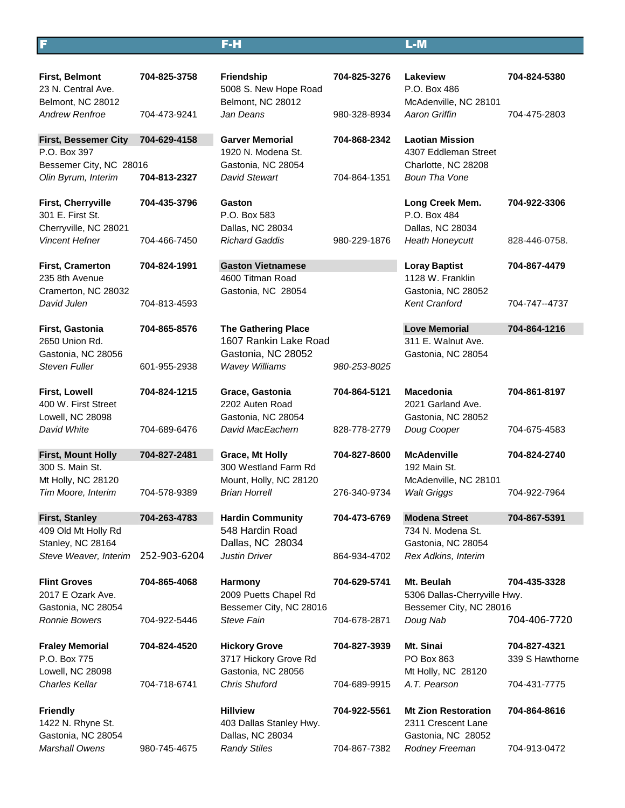## F F-H L-M

| <b>First, Belmont</b><br>23 N. Central Ave.<br>Belmont, NC 28012 | 704-825-3758 | <b>Friendship</b><br>5008 S. New Hope Road<br>Belmont, NC 28012     | 704-825-3276 | Lakeview<br>P.O. Box 486<br>McAdenville, NC 28101                      | 704-824-5380                    |
|------------------------------------------------------------------|--------------|---------------------------------------------------------------------|--------------|------------------------------------------------------------------------|---------------------------------|
| <b>Andrew Renfroe</b>                                            | 704-473-9241 | Jan Deans                                                           | 980-328-8934 | Aaron Griffin                                                          | 704-475-2803                    |
| <b>First, Bessemer City</b><br>P.O. Box 397                      | 704-629-4158 | <b>Garver Memorial</b><br>1920 N. Modena St.                        | 704-868-2342 | <b>Laotian Mission</b><br>4307 Eddleman Street                         |                                 |
| Bessemer City, NC 28016<br>Olin Byrum, Interim                   | 704-813-2327 | Gastonia, NC 28054<br><b>David Stewart</b>                          | 704-864-1351 | Charlotte, NC 28208<br><b>Boun Tha Vone</b>                            |                                 |
| First, Cherryville<br>301 E. First St.<br>Cherryville, NC 28021  | 704-435-3796 | Gaston<br>P.O. Box 583<br>Dallas, NC 28034                          |              | Long Creek Mem.<br>P.O. Box 484<br>Dallas, NC 28034                    | 704-922-3306                    |
| <b>Vincent Hefner</b>                                            | 704-466-7450 | <b>Richard Gaddis</b>                                               | 980-229-1876 | <b>Heath Honeycutt</b>                                                 | 828-446-0758.                   |
| <b>First, Cramerton</b><br>235 8th Avenue<br>Cramerton, NC 28032 | 704-824-1991 | <b>Gaston Vietnamese</b><br>4600 Titman Road<br>Gastonia, NC 28054  |              | <b>Loray Baptist</b><br>1128 W. Franklin<br>Gastonia, NC 28052         | 704-867-4479                    |
| David Julen                                                      | 704-813-4593 |                                                                     |              | <b>Kent Cranford</b>                                                   | 704-747--4737                   |
| First, Gastonia<br>2650 Union Rd.                                | 704-865-8576 | <b>The Gathering Place</b><br>1607 Rankin Lake Road                 |              | <b>Love Memorial</b><br>311 E. Walnut Ave.                             | 704-864-1216                    |
| Gastonia, NC 28056<br><b>Steven Fuller</b>                       | 601-955-2938 | Gastonia, NC 28052<br><b>Wavey Williams</b>                         | 980-253-8025 | Gastonia, NC 28054                                                     |                                 |
| <b>First, Lowell</b><br>400 W. First Street<br>Lowell, NC 28098  | 704-824-1215 | Grace, Gastonia<br>2202 Auten Road<br>Gastonia, NC 28054            | 704-864-5121 | <b>Macedonia</b><br>2021 Garland Ave.<br>Gastonia, NC 28052            | 704-861-8197                    |
| David White                                                      | 704-689-6476 | David MacEachern                                                    | 828-778-2779 | Doug Cooper                                                            | 704-675-4583                    |
| <b>First, Mount Holly</b>                                        | 704-827-2481 | Grace, Mt Holly                                                     | 704-827-8600 | <b>McAdenville</b>                                                     | 704-824-2740                    |
| 300 S. Main St.<br>Mt Holly, NC 28120                            |              | 300 Westland Farm Rd<br>Mount, Holly, NC 28120                      |              | 192 Main St.<br>McAdenville, NC 28101                                  |                                 |
| Tim Moore, Interim                                               | 704-578-9389 | <b>Brian Horrell</b>                                                | 276-340-9734 | <b>Walt Griggs</b>                                                     | 704-922-7964                    |
| <b>First, Stanley</b>                                            | 704-263-4783 | <b>Hardin Community</b>                                             | 704-473-6769 | <b>Modena Street</b>                                                   | 704-867-5391                    |
| 409 Old Mt Holly Rd<br>Stanley, NC 28164                         |              | 548 Hardin Road<br>Dallas, NC 28034                                 |              | 734 N. Modena St.<br>Gastonia, NC 28054                                |                                 |
| Steve Weaver, Interim                                            | 252-903-6204 | <b>Justin Driver</b>                                                | 864-934-4702 | Rex Adkins, Interim                                                    |                                 |
| <b>Flint Groves</b><br>2017 E Ozark Ave.<br>Gastonia, NC 28054   | 704-865-4068 | <b>Harmony</b><br>2009 Puetts Chapel Rd<br>Bessemer City, NC 28016  | 704-629-5741 | Mt. Beulah<br>5306 Dallas-Cherryville Hwy.<br>Bessemer City, NC 28016  | 704-435-3328                    |
| <b>Ronnie Bowers</b>                                             | 704-922-5446 | Steve Fain                                                          | 704-678-2871 | Doug Nab                                                               | 704-406-7720                    |
| <b>Fraley Memorial</b><br>P.O. Box 775<br>Lowell, NC 28098       | 704-824-4520 | <b>Hickory Grove</b><br>3717 Hickory Grove Rd<br>Gastonia, NC 28056 | 704-827-3939 | Mt. Sinai<br>PO Box 863<br>Mt Holly, NC 28120                          | 704-827-4321<br>339 S Hawthorne |
| <b>Charles Kellar</b>                                            | 704-718-6741 | <b>Chris Shuford</b>                                                | 704-689-9915 | A.T. Pearson                                                           | 704-431-7775                    |
| <b>Friendly</b><br>1422 N. Rhyne St.<br>Gastonia, NC 28054       |              | <b>Hillview</b><br>403 Dallas Stanley Hwy.<br>Dallas, NC 28034      | 704-922-5561 | <b>Mt Zion Restoration</b><br>2311 Crescent Lane<br>Gastonia, NC 28052 | 704-864-8616                    |
| Marshall Owens                                                   | 980-745-4675 | <b>Randy Stiles</b>                                                 | 704-867-7382 | Rodney Freeman                                                         | 704-913-0472                    |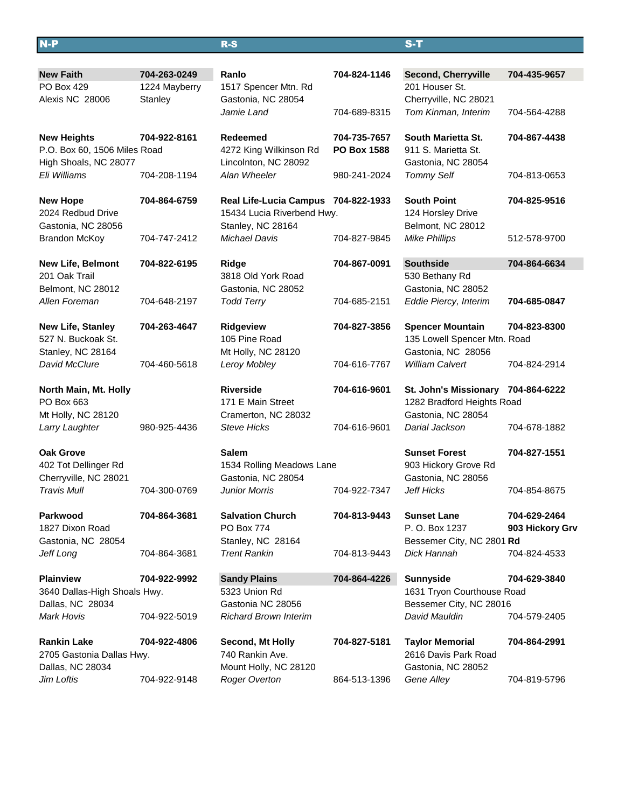| $N-P$                                                 |               | $R-S$                                           |                    | $S-T$                                     |                 |  |
|-------------------------------------------------------|---------------|-------------------------------------------------|--------------------|-------------------------------------------|-----------------|--|
|                                                       |               |                                                 |                    |                                           |                 |  |
| <b>New Faith</b>                                      | 704-263-0249  | Ranlo                                           | 704-824-1146       | <b>Second, Cherryville</b>                | 704-435-9657    |  |
| PO Box 429                                            | 1224 Mayberry | 1517 Spencer Mtn. Rd                            |                    | 201 Houser St.                            |                 |  |
| Alexis NC 28006                                       | Stanley       | Gastonia, NC 28054                              |                    | Cherryville, NC 28021                     |                 |  |
|                                                       |               | Jamie Land                                      | 704-689-8315       | Tom Kinman, Interim                       | 704-564-4288    |  |
|                                                       |               |                                                 |                    |                                           |                 |  |
| <b>New Heights</b>                                    | 704-922-8161  | <b>Redeemed</b>                                 | 704-735-7657       | South Marietta St.                        | 704-867-4438    |  |
| P.O. Box 60, 1506 Miles Road<br>High Shoals, NC 28077 |               | 4272 King Wilkinson Rd<br>Lincolnton, NC 28092  | <b>PO Box 1588</b> | 911 S. Marietta St.<br>Gastonia, NC 28054 |                 |  |
| Eli Williams                                          | 704-208-1194  | Alan Wheeler                                    | 980-241-2024       | <b>Tommy Self</b>                         | 704-813-0653    |  |
|                                                       |               |                                                 |                    |                                           |                 |  |
| <b>New Hope</b>                                       | 704-864-6759  | Real Life-Lucia Campus 704-822-1933             |                    | <b>South Point</b>                        | 704-825-9516    |  |
| 2024 Redbud Drive                                     |               | 15434 Lucia Riverbend Hwy.                      |                    | 124 Horsley Drive                         |                 |  |
| Gastonia, NC 28056                                    |               | Stanley, NC 28164                               |                    | Belmont, NC 28012                         |                 |  |
| <b>Brandon McKoy</b>                                  | 704-747-2412  | <b>Michael Davis</b>                            | 704-827-9845       | <b>Mike Phillips</b>                      | 512-578-9700    |  |
|                                                       |               |                                                 |                    |                                           |                 |  |
| <b>New Life, Belmont</b><br>201 Oak Trail             | 704-822-6195  | <b>Ridge</b><br>3818 Old York Road              | 704-867-0091       | <b>Southside</b>                          | 704-864-6634    |  |
| Belmont, NC 28012                                     |               |                                                 |                    | 530 Bethany Rd<br>Gastonia, NC 28052      |                 |  |
| Allen Foreman                                         | 704-648-2197  | Gastonia, NC 28052<br><b>Todd Terry</b>         | 704-685-2151       | Eddie Piercy, Interim                     | 704-685-0847    |  |
|                                                       |               |                                                 |                    |                                           |                 |  |
| <b>New Life, Stanley</b>                              | 704-263-4647  | Ridgeview                                       | 704-827-3856       | <b>Spencer Mountain</b>                   | 704-823-8300    |  |
| 527 N. Buckoak St.                                    |               | 105 Pine Road                                   |                    | 135 Lowell Spencer Mtn. Road              |                 |  |
| Stanley, NC 28164                                     |               | Mt Holly, NC 28120                              |                    | Gastonia, NC 28056                        |                 |  |
| David McClure                                         | 704-460-5618  | Leroy Mobley                                    | 704-616-7767       | <b>William Calvert</b>                    | 704-824-2914    |  |
| North Main, Mt. Holly                                 |               | <b>Riverside</b>                                | 704-616-9601       | St. John's Missionary 704-864-6222        |                 |  |
| PO Box 663                                            |               | 171 E Main Street                               |                    | 1282 Bradford Heights Road                |                 |  |
| Mt Holly, NC 28120                                    |               | Cramerton, NC 28032                             |                    | Gastonia, NC 28054                        |                 |  |
| Larry Laughter                                        | 980-925-4436  | Steve Hicks                                     | 704-616-9601       | Darial Jackson                            | 704-678-1882    |  |
|                                                       |               |                                                 |                    |                                           |                 |  |
| <b>Oak Grove</b>                                      |               | <b>Salem</b>                                    |                    | <b>Sunset Forest</b>                      | 704-827-1551    |  |
| 402 Tot Dellinger Rd<br>Cherryville, NC 28021         |               | 1534 Rolling Meadows Lane<br>Gastonia, NC 28054 |                    | 903 Hickory Grove Rd                      |                 |  |
| Travis Mull                                           | 704-300-0769  | <b>Junior Morris</b>                            | 704-922-7347       | Gastonia, NC 28056<br>Jeff Hicks          | 704-854-8675    |  |
|                                                       |               |                                                 |                    |                                           |                 |  |
| Parkwood                                              | 704-864-3681  | <b>Salvation Church</b>                         | 704-813-9443       | <b>Sunset Lane</b>                        | 704-629-2464    |  |
| 1827 Dixon Road                                       |               | PO Box 774                                      |                    | P. O. Box 1237                            | 903 Hickory Grv |  |
| Gastonia, NC 28054                                    |               | Stanley, NC 28164                               |                    | Bessemer City, NC 2801 Rd                 |                 |  |
| Jeff Long                                             | 704-864-3681  | <b>Trent Rankin</b>                             | 704-813-9443       | Dick Hannah                               | 704-824-4533    |  |
| <b>Plainview</b>                                      | 704-922-9992  | <b>Sandy Plains</b>                             | 704-864-4226       | <b>Sunnyside</b>                          | 704-629-3840    |  |
| 3640 Dallas-High Shoals Hwy.                          |               | 5323 Union Rd                                   |                    | 1631 Tryon Courthouse Road                |                 |  |
| Dallas, NC 28034                                      |               | Gastonia NC 28056                               |                    | Bessemer City, NC 28016                   |                 |  |
| <b>Mark Hovis</b>                                     | 704-922-5019  | <b>Richard Brown Interim</b>                    |                    | David Mauldin                             | 704-579-2405    |  |
|                                                       |               |                                                 |                    |                                           |                 |  |
| <b>Rankin Lake</b><br>704-922-4806                    |               | Second, Mt Holly                                | 704-827-5181       | <b>Taylor Memorial</b>                    | 704-864-2991    |  |
| 2705 Gastonia Dallas Hwy.                             |               | 740 Rankin Ave.                                 |                    | 2616 Davis Park Road                      |                 |  |
| Dallas, NC 28034<br>Jim Loftis                        | 704-922-9148  | Mount Holly, NC 28120                           | 864-513-1396       | Gastonia, NC 28052                        | 704-819-5796    |  |
|                                                       |               | <b>Roger Overton</b>                            |                    | Gene Alley                                |                 |  |